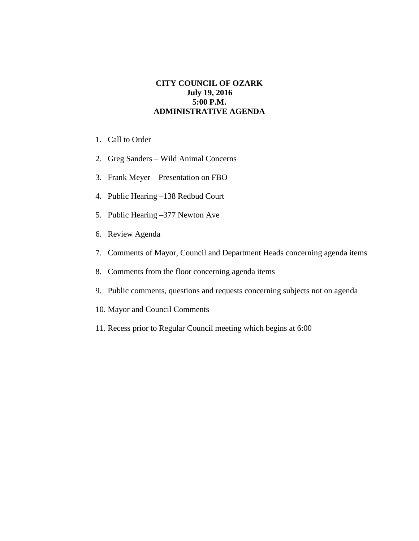## **CITY COUNCIL OF OZARK July 19, 2016 5:00 P.M. ADMINISTRATIVE AGENDA**

- 1. Call to Order
- 2. Greg Sanders Wild Animal Concerns
- 3. Frank Meyer Presentation on FBO
- 4. Public Hearing –138 Redbud Court
- 5. Public Hearing –377 Newton Ave
- 6. Review Agenda
- 7. Comments of Mayor, Council and Department Heads concerning agenda items
- 8. Comments from the floor concerning agenda items
- 9. Public comments, questions and requests concerning subjects not on agenda
- 10. Mayor and Council Comments
- 11. Recess prior to Regular Council meeting which begins at 6:00